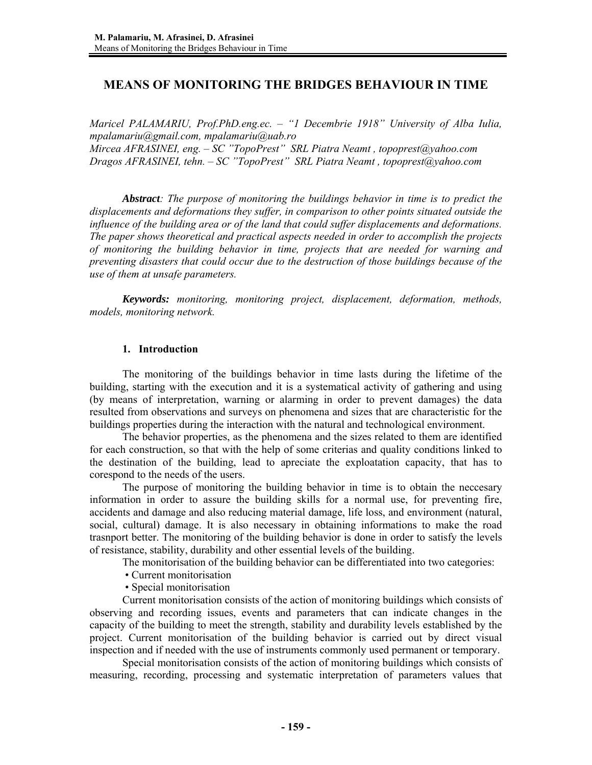# **MEANS OF MONITORING THE BRIDGES BEHAVIOUR IN TIME**

*Maricel PALAMARIU, Prof.PhD.eng.ec. – "1 Decembrie 1918" University of Alba Iulia, mpalamariu@gmail.com, mpalamariu@uab.ro Mircea AFRASINEI, eng. – SC "TopoPrest" SRL Piatra Neamt , topoprest@yahoo.com Dragos AFRASINEI, tehn. – SC "TopoPrest" SRL Piatra Neamt , topoprest@yahoo.com* 

*Abstract: The purpose of monitoring the buildings behavior in time is to predict the displacements and deformations they suffer, in comparison to other points situated outside the influence of the building area or of the land that could suffer displacements and deformations. The paper shows theoretical and practical aspects needed in order to accomplish the projects of monitoring the building behavior in time, projects that are needed for warning and preventing disasters that could occur due to the destruction of those buildings because of the use of them at unsafe parameters.* 

*Keywords: monitoring, monitoring project, displacement, deformation, methods, models, monitoring network.* 

## **1. Introduction**

The monitoring of the buildings behavior in time lasts during the lifetime of the building, starting with the execution and it is a systematical activity of gathering and using (by means of interpretation, warning or alarming in order to prevent damages) the data resulted from observations and surveys on phenomena and sizes that are characteristic for the buildings properties during the interaction with the natural and technological environment.

The behavior properties, as the phenomena and the sizes related to them are identified for each construction, so that with the help of some criterias and quality conditions linked to the destination of the building, lead to apreciate the exploatation capacity, that has to corespond to the needs of the users.

The purpose of monitoring the building behavior in time is to obtain the neccesary information in order to assure the building skills for a normal use, for preventing fire, accidents and damage and also reducing material damage, life loss, and environment (natural, social, cultural) damage. It is also necessary in obtaining informations to make the road trasnport better. The monitoring of the building behavior is done in order to satisfy the levels of resistance, stability, durability and other essential levels of the building.

The monitorisation of the building behavior can be differentiated into two categories:

- Current monitorisation
- Special monitorisation

 Current monitorisation consists of the action of monitoring buildings which consists of observing and recording issues, events and parameters that can indicate changes in the capacity of the building to meet the strength, stability and durability levels established by the project. Current monitorisation of the building behavior is carried out by direct visual inspection and if needed with the use of instruments commonly used permanent or temporary.

Special monitorisation consists of the action of monitoring buildings which consists of measuring, recording, processing and systematic interpretation of parameters values that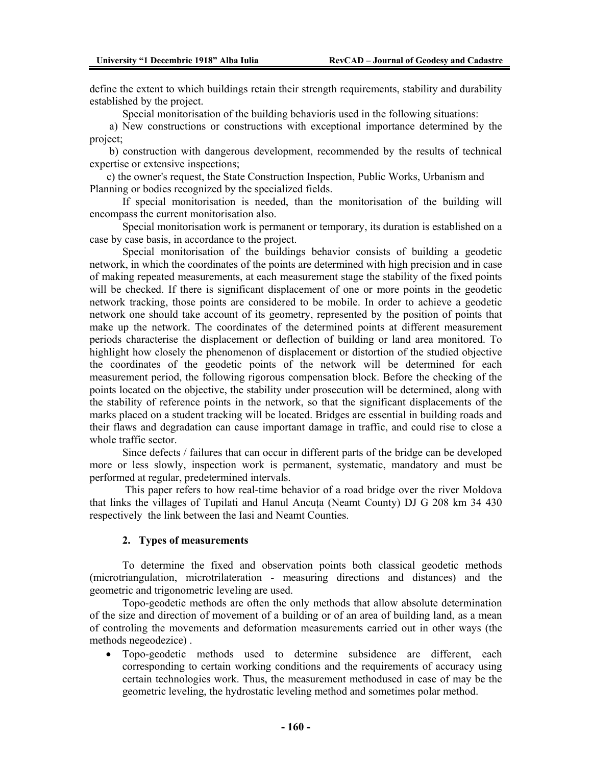define the extent to which buildings retain their strength requirements, stability and durability established by the project.

Special monitorisation of the building behavioris used in the following situations:

 a) New constructions or constructions with exceptional importance determined by the project;

 b) construction with dangerous development, recommended by the results of technical expertise or extensive inspections;

c) the owner's request, the State Construction Inspection, Public Works, Urbanism and Planning or bodies recognized by the specialized fields.

 If special monitorisation is needed, than the monitorisation of the building will encompass the current monitorisation also.

Special monitorisation work is permanent or temporary, its duration is established on a case by case basis, in accordance to the project.

Special monitorisation of the buildings behavior consists of building a geodetic network, in which the coordinates of the points are determined with high precision and in case of making repeated measurements, at each measurement stage the stability of the fixed points will be checked. If there is significant displacement of one or more points in the geodetic network tracking, those points are considered to be mobile. In order to achieve a geodetic network one should take account of its geometry, represented by the position of points that make up the network. The coordinates of the determined points at different measurement periods characterise the displacement or deflection of building or land area monitored. To highlight how closely the phenomenon of displacement or distortion of the studied objective the coordinates of the geodetic points of the network will be determined for each measurement period, the following rigorous compensation block. Before the checking of the points located on the objective, the stability under prosecution will be determined, along with the stability of reference points in the network, so that the significant displacements of the marks placed on a student tracking will be located. Bridges are essential in building roads and their flaws and degradation can cause important damage in traffic, and could rise to close a whole traffic sector.

Since defects / failures that can occur in different parts of the bridge can be developed more or less slowly, inspection work is permanent, systematic, mandatory and must be performed at regular, predetermined intervals.

 This paper refers to how real-time behavior of a road bridge over the river Moldova that links the villages of Tupilati and Hanul Ancuta (Neamt County) DJ G 208 km 34 430 respectively the link between the Iasi and Neamt Counties.

### **2. Types of measurements**

To determine the fixed and observation points both classical geodetic methods (microtriangulation, microtrilateration - measuring directions and distances) and the geometric and trigonometric leveling are used.

 Topo-geodetic methods are often the only methods that allow absolute determination of the size and direction of movement of a building or of an area of building land, as a mean of controling the movements and deformation measurements carried out in other ways (the methods negeodezice) .

• Topo-geodetic methods used to determine subsidence are different, each corresponding to certain working conditions and the requirements of accuracy using certain technologies work. Thus, the measurement methodused in case of may be the geometric leveling, the hydrostatic leveling method and sometimes polar method.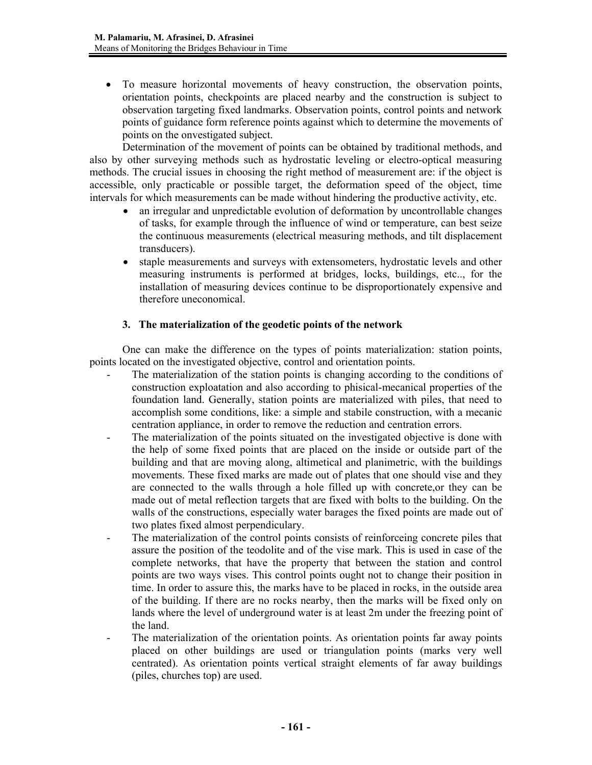• To measure horizontal movements of heavy construction, the observation points, orientation points, checkpoints are placed nearby and the construction is subject to observation targeting fixed landmarks. Observation points, control points and network points of guidance form reference points against which to determine the movements of points on the onvestigated subject.

Determination of the movement of points can be obtained by traditional methods, and also by other surveying methods such as hydrostatic leveling or electro-optical measuring methods. The crucial issues in choosing the right method of measurement are: if the object is accessible, only practicable or possible target, the deformation speed of the object, time intervals for which measurements can be made without hindering the productive activity, etc.

- an irregular and unpredictable evolution of deformation by uncontrollable changes of tasks, for example through the influence of wind or temperature, can best seize the continuous measurements (electrical measuring methods, and tilt displacement transducers).
- staple measurements and surveys with extensometers, hydrostatic levels and other measuring instruments is performed at bridges, locks, buildings, etc.., for the installation of measuring devices continue to be disproportionately expensive and therefore uneconomical.

## **3. The materialization of the geodetic points of the network**

One can make the difference on the types of points materialization: station points, points located on the investigated objective, control and orientation points.

- The materialization of the station points is changing according to the conditions of construction exploatation and also according to phisical-mecanical properties of the foundation land. Generally, station points are materialized with piles, that need to accomplish some conditions, like: a simple and stabile construction, with a mecanic centration appliance, in order to remove the reduction and centration errors.
- The materialization of the points situated on the investigated objective is done with the help of some fixed points that are placed on the inside or outside part of the building and that are moving along, altimetical and planimetric, with the buildings movements. These fixed marks are made out of plates that one should vise and they are connected to the walls through a hole filled up with concrete,or they can be made out of metal reflection targets that are fixed with bolts to the building. On the walls of the constructions, especially water barages the fixed points are made out of two plates fixed almost perpendiculary.
- The materialization of the control points consists of reinforceing concrete piles that assure the position of the teodolite and of the vise mark. This is used in case of the complete networks, that have the property that between the station and control points are two ways vises. This control points ought not to change their position in time. In order to assure this, the marks have to be placed in rocks, in the outside area of the building. If there are no rocks nearby, then the marks will be fixed only on lands where the level of underground water is at least 2m under the freezing point of the land.
- The materialization of the orientation points. As orientation points far away points placed on other buildings are used or triangulation points (marks very well centrated). As orientation points vertical straight elements of far away buildings (piles, churches top) are used.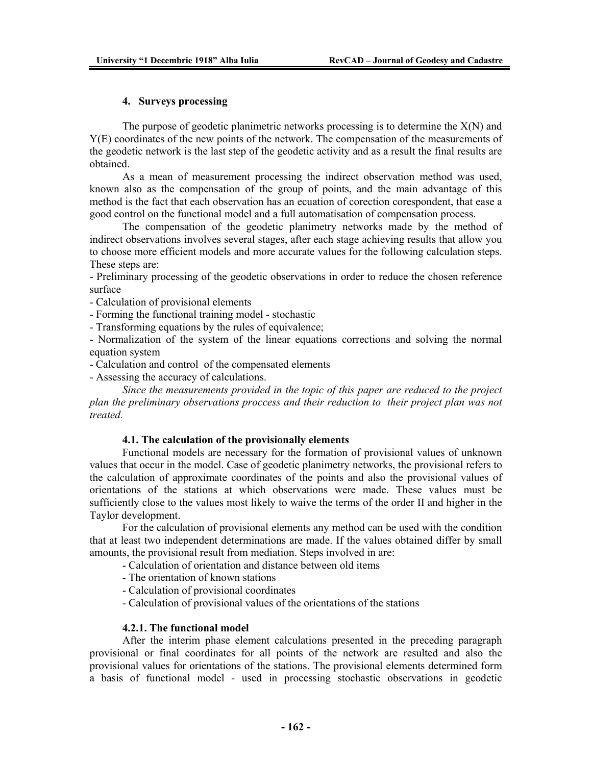## **4. Surveys processing**

The purpose of geodetic planimetric networks processing is to determine the  $X(N)$  and Y(E) coordinates of the new points of the network. The compensation of the measurements of the geodetic network is the last step of the geodetic activity and as a result the final results are obtained.

 As a mean of measurement processing the indirect observation method was used, known also as the compensation of the group of points, and the main advantage of this method is the fact that each observation has an ecuation of corection corespondent, that ease a good control on the functional model and a full automatisation of compensation process.

 The compensation of the geodetic planimetry networks made by the method of indirect observations involves several stages, after each stage achieving results that allow you to choose more efficient models and more accurate values for the following calculation steps. These steps are:

- Preliminary processing of the geodetic observations in order to reduce the chosen reference surface

- Calculation of provisional elements

- Forming the functional training model - stochastic

- Transforming equations by the rules of equivalence;

- Normalization of the system of the linear equations corrections and solving the normal equation system

- Calculation and control of the compensated elements

- Assessing the accuracy of calculations.

*Since the measurements provided in the topic of this paper are reduced to the project plan the preliminary observations proccess and their reduction to their project plan was not treated.* 

#### **4.1. The calculation of the provisionally elements**

Functional models are necessary for the formation of provisional values of unknown values that occur in the model. Case of geodetic planimetry networks, the provisional refers to the calculation of approximate coordinates of the points and also the provisional values of orientations of the stations at which observations were made. These values must be sufficiently close to the values most likely to waive the terms of the order II and higher in the Taylor development.

For the calculation of provisional elements any method can be used with the condition that at least two independent determinations are made. If the values obtained differ by small amounts, the provisional result from mediation. Steps involved in are:

- Calculation of orientation and distance between old items

- The orientation of known stations
- Calculation of provisional coordinates
- Calculation of provisional values of the orientations of the stations

## **4.2.1. The functional model**

After the interim phase element calculations presented in the preceding paragraph provisional or final coordinates for all points of the network are resulted and also the provisional values for orientations of the stations. The provisional elements determined form a basis of functional model - used in processing stochastic observations in geodetic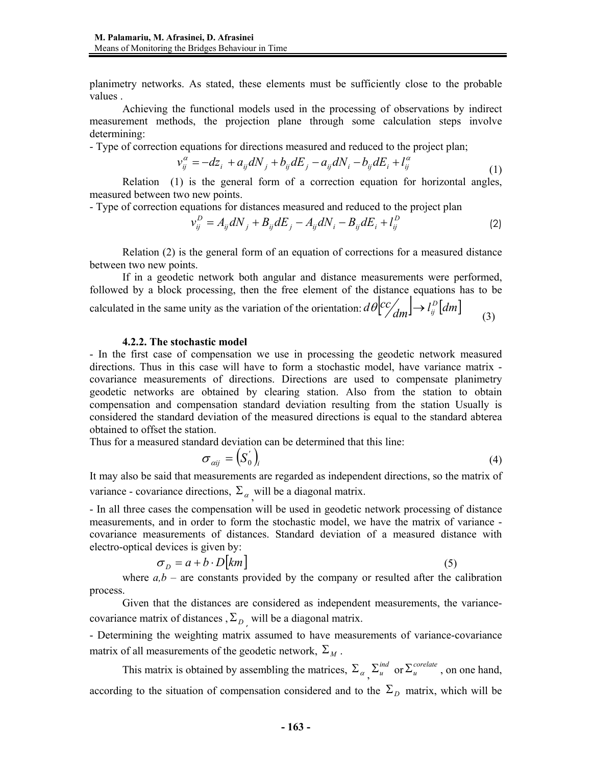planimetry networks. As stated, these elements must be sufficiently close to the probable values .

Achieving the functional models used in the processing of observations by indirect measurement methods, the projection plane through some calculation steps involve determining:

- Type of correction equations for directions measured and reduced to the project plan;

$$
v_{ij}^{\alpha} = -dz_i + a_{ij}dN_j + b_{ij}dE_j - a_{ij}dN_i - b_{ij}dE_i + l_{ij}^{\alpha}
$$
\n(1)

Relation (1) is the general form of a correction equation for horizontal angles, measured between two new points.

- Type of correction equations for distances measured and reduced to the project plan

$$
v_{ij}^D = A_{ij} dN_j + B_{ij} dE_j - A_{ij} dN_i - B_{ij} dE_i + l_{ij}^D
$$
 (2)

Relation (2) is the general form of an equation of corrections for a measured distance between two new points.

If in a geodetic network both angular and distance measurements were performed, followed by a block processing, then the free element of the distance equations has to be calculated in the same unity as the variation of the orientation:  $d\theta \begin{bmatrix} cc/ \\ d m \end{bmatrix} \rightarrow l_{ij}^D [dm]$  (3)

#### **4.2.2. The stochastic model**

- In the first case of compensation we use in processing the geodetic network measured directions. Thus in this case will have to form a stochastic model, have variance matrix covariance measurements of directions. Directions are used to compensate planimetry geodetic networks are obtained by clearing station. Also from the station to obtain compensation and compensation standard deviation resulting from the station Usually is considered the standard deviation of the measured directions is equal to the standard abterea obtained to offset the station.

Thus for a measured standard deviation can be determined that this line:

$$
\sigma_{\alpha ij} = \left(S_{0}^{'}\right)_{i} \tag{4}
$$

It may also be said that measurements are regarded as independent directions, so the matrix of variance - covariance directions,  $\Sigma_{\alpha}$  will be a diagonal matrix.

- In all three cases the compensation will be used in geodetic network processing of distance measurements, and in order to form the stochastic model, we have the matrix of variance covariance measurements of distances. Standard deviation of a measured distance with electro-optical devices is given by:

$$
\sigma_D = a + b \cdot D[km]
$$
 (5)

where  $a, b$  – are constants provided by the company or resulted after the calibration process.

Given that the distances are considered as independent measurements, the variancecovariance matrix of distances ,  $\Sigma_{D}$ , will be a diagonal matrix.

- Determining the weighting matrix assumed to have measurements of variance-covariance matrix of all measurements of the geodetic network,  $\Sigma_M$ .

This matrix is obtained by assembling the matrices,  $\Sigma_{\alpha}$ ,  $\Sigma_{u}^{ind}$  or  $\Sigma_{u}^{corelate}$ , on one hand, according to the situation of compensation considered and to the  $\Sigma_D$  matrix, which will be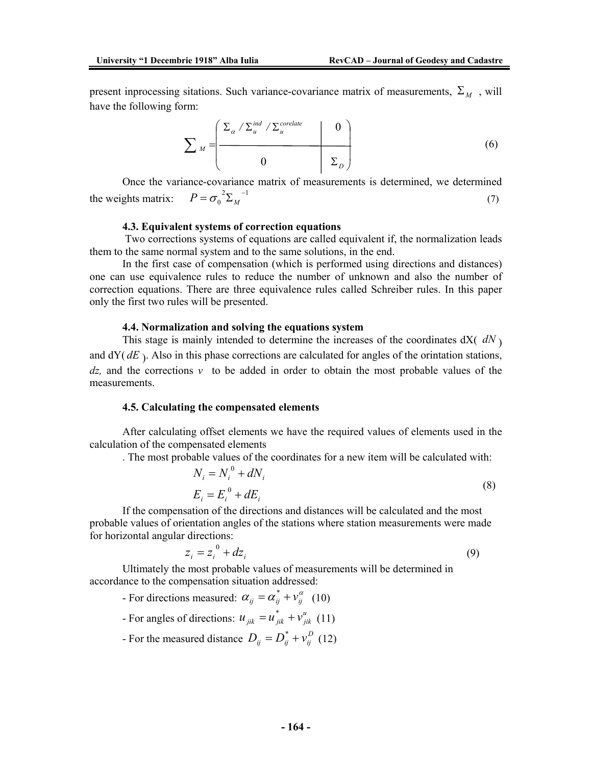present inprocessing sitations. Such variance-covariance matrix of measurements,  $\Sigma_M$ , will have the following form:

$$
\sum_{M} = \left(\begin{array}{c|c}\sum_{\alpha} / \sum_{u}^{ind} / \sum_{u}^{corelate} & 0\\0 & \sum_{D}\end{array}\right) \tag{6}
$$

Once the variance-covariance matrix of measurements is determined, we determined the weights matrix:  $P = \sigma_0^{-2} \sum_M^{-1}$  (7)

#### **4.3. Equivalent systems of correction equations**

 Two corrections systems of equations are called equivalent if, the normalization leads them to the same normal system and to the same solutions, in the end.

In the first case of compensation (which is performed using directions and distances) one can use equivalence rules to reduce the number of unknown and also the number of correction equations. There are three equivalence rules called Schreiber rules. In this paper only the first two rules will be presented.

#### **4.4. Normalization and solving the equations system**

This stage is mainly intended to determine the increases of the coordinates  $dX(dN)$ and  $dY$ ( $dE$ ). Also in this phase corrections are calculated for angles of the orintation stations, *dz,* and the corrections *v* to be added in order to obtain the most probable values of the measurements.

#### **4.5. Calculating the compensated elements**

After calculating offset elements we have the required values of elements used in the calculation of the compensated elements

. The most probable values of the coordinates for a new item will be calculated with:

$$
N_i = N_i^0 + dN_i
$$
  
\n
$$
E_i = E_i^0 + dE_i
$$
\n(8)

If the compensation of the directions and distances will be calculated and the most probable values of orientation angles of the stations where station measurements were made for horizontal angular directions:

$$
z_i = z_i^0 + dz_i \tag{9}
$$

Ultimately the most probable values of measurements will be determined in accordance to the compensation situation addressed:

- For directions measured:  $\alpha_{ij} = \alpha_{ij}^* + v_{ij}^{\alpha}$  (10)

- For angles of directions:  $u_{jik} = u_{jik}^* + v_{jik}^u$  $u_{jik} = u_{jik}^* + v_{jik}^u$  (11)

- For the measured distance  $D_{ij} = D_{ij}^* + v_{ij}^D$  $D_{ij} = D_{ij}^* + v_{ij}^D$  (12)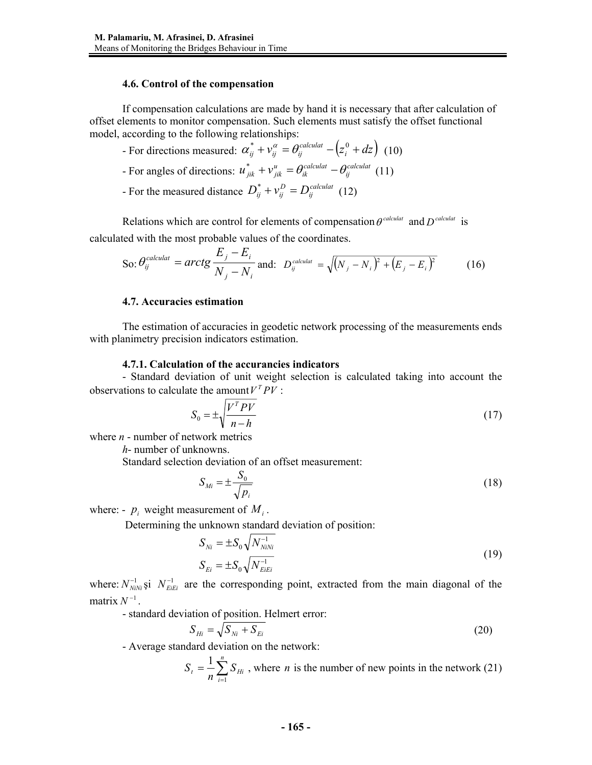## **4.6. Control of the compensation**

If compensation calculations are made by hand it is necessary that after calculation of offset elements to monitor compensation. Such elements must satisfy the offset functional model, according to the following relationships:

- For directions measured:  $\alpha_{ij}^* + \nu_{ij}^{\alpha} = \theta_{ij}^{calculated} (z_i^0 + dz)$ *ij ij*  $\alpha_{ij}^* + \nu_{ij}^{\alpha} = \theta_{ij}^{calculated} - (z_i^0 + dz)$  (10)
- For angles of directions:  $u_{jik}^* + v_{jik}^u = \theta_{ik}^{calculated} \theta_{ij}^{calculated}$ *calculat ik u jik*  $u_{jik}^* + v_{jik}^u = \theta_{ik}^{calculated} - \theta_{ij}^{calculated}$  (11)
- For the measured distance  $D_{ij}^* + v_{ij}^D = D_{ij}^{calculated}$ *D*  $D_{ij}^* + v_{ij}^D = D_{ij}^{calcul}$  (12)

Relations which are control for elements of compensation  $\theta^{calculated}$  and  $D^{calculated}$  is calculated with the most probable values of the coordinates.

So: 
$$
\theta_{ij}^{calculated} = \text{arctg} \frac{E_j - E_i}{N_j - N_i}
$$
 and:  $D_{ij}^{calculated} = \sqrt{(N_j - N_i)^2 + (E_j - E_i)^2}$  (16)

## **4.7. Accuracies estimation**

The estimation of accuracies in geodetic network processing of the measurements ends with planimetry precision indicators estimation.

### **4.7.1. Calculation of the accurancies indicators**

- Standard deviation of unit weight selection is calculated taking into account the observations to calculate the amount  $V^T P V$ :

$$
S_0 = \pm \sqrt{\frac{V^T P V}{n - h}}
$$
\n(17)

where *n* - number of network metrics

*h*- number of unknowns.

Standard selection deviation of an offset measurement:

$$
S_{Mi} = \pm \frac{S_0}{\sqrt{p_i}} \tag{18}
$$

where: -  $p_i$  weight measurement of  $M_i$ .

Determining the unknown standard deviation of position:

$$
S_{Ni} = \pm S_0 \sqrt{N_{NiNi}^{-1}}
$$
  
\n
$$
S_{E_i} = \pm S_0 \sqrt{N_{EIE}^{-1}}
$$
\n(19)

where:  $N_{N/N_i}^{-1}$  *s*i  $N_{Eiki}^{-1}$  are the corresponding point, extracted from the main diagonal of the matrix  $N^{-1}$ .

- standard deviation of position. Helmert error:

$$
S_{Hi} = \sqrt{S_{Ni} + S_{Ei}} \tag{20}
$$

- Average standard deviation on the network:

$$
S_t = \frac{1}{n} \sum_{i=1}^n S_{Hi}
$$
, where *n* is the number of new points in the network (21)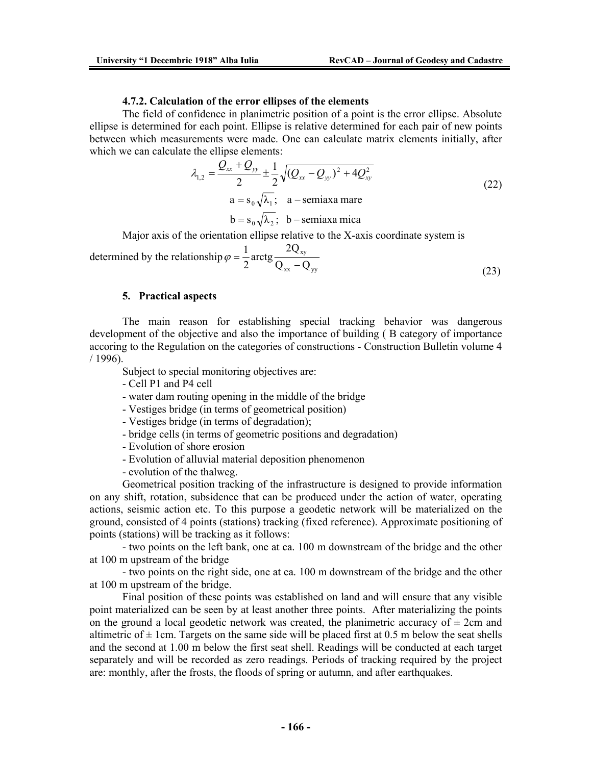#### **4.7.2. Calculation of the error ellipses of the elements**

The field of confidence in planimetric position of a point is the error ellipse. Absolute ellipse is determined for each point. Ellipse is relative determined for each pair of new points between which measurements were made. One can calculate matrix elements initially, after which we can calculate the ellipse elements:

$$
\lambda_{1,2} = \frac{Q_{xx} + Q_{yy}}{2} \pm \frac{1}{2} \sqrt{(Q_{xx} - Q_{yy})^2 + 4Q_{xy}^2}
$$
\n
$$
a = s_0 \sqrt{\lambda_1}; \quad a - \text{semiaxa mare}
$$
\n
$$
b = s_0 \sqrt{\lambda_2}; \quad b - \text{semiaxa mica}
$$
\n(22)

Major axis of the orientation ellipse relative to the X-axis coordinate system is

determined by the relationship  $_{xx}$   $\vee$  yy xy  $Q_{xx} - Q$ arctg $\frac{2Q}{2}$ 2  $\varphi = \frac{1}{2} \arctg \frac{2Q}{Q_{xx}}$  $(23)$ 

#### **5. Practical aspects**

The main reason for establishing special tracking behavior was dangerous development of the objective and also the importance of building ( B category of importance accoring to the Regulation on the categories of constructions - Construction Bulletin volume 4 / 1996).

Subject to special monitoring objectives are:

- Cell P1 and P4 cell
- water dam routing opening in the middle of the bridge
- Vestiges bridge (in terms of geometrical position)
- Vestiges bridge (in terms of degradation);
- bridge cells (in terms of geometric positions and degradation)
- Evolution of shore erosion
- Evolution of alluvial material deposition phenomenon
- evolution of the thalweg.

Geometrical position tracking of the infrastructure is designed to provide information on any shift, rotation, subsidence that can be produced under the action of water, operating actions, seismic action etc. To this purpose a geodetic network will be materialized on the ground, consisted of 4 points (stations) tracking (fixed reference). Approximate positioning of points (stations) will be tracking as it follows:

- two points on the left bank, one at ca. 100 m downstream of the bridge and the other at 100 m upstream of the bridge

- two points on the right side, one at ca. 100 m downstream of the bridge and the other at 100 m upstream of the bridge.

Final position of these points was established on land and will ensure that any visible point materialized can be seen by at least another three points. After materializing the points on the ground a local geodetic network was created, the planimetric accuracy of  $\pm$  2cm and altimetric of  $\pm$  1cm. Targets on the same side will be placed first at 0.5 m below the seat shells and the second at 1.00 m below the first seat shell. Readings will be conducted at each target separately and will be recorded as zero readings. Periods of tracking required by the project are: monthly, after the frosts, the floods of spring or autumn, and after earthquakes.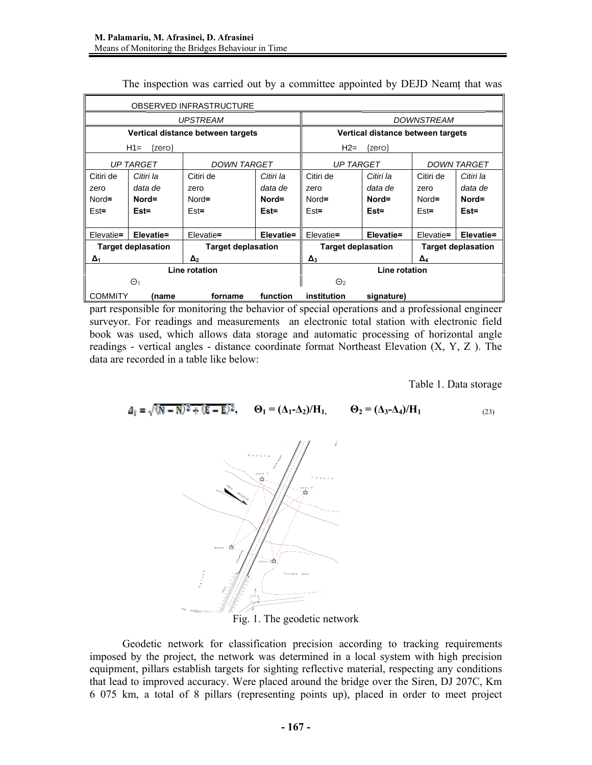| OBSERVED INFRASTRUCTURE                                |                  |                    |           |                                   |            |                           |           |  |
|--------------------------------------------------------|------------------|--------------------|-----------|-----------------------------------|------------|---------------------------|-----------|--|
| <b>UPSTREAM</b>                                        |                  |                    |           | <b>DOWNSTREAM</b>                 |            |                           |           |  |
| Vertical distance between targets                      |                  |                    |           | Vertical distance between targets |            |                           |           |  |
| $H1=$<br>(zero)                                        |                  |                    |           | $H2=$<br>(zero)                   |            |                           |           |  |
|                                                        | <b>UP TARGET</b> | <b>DOWN TARGET</b> |           | <b>UP TARGET</b>                  |            | <b>DOWN TARGET</b>        |           |  |
| Citiri de                                              | Citiri la        | Citiri de          | Citiri la | Citiri de                         | Citiri la  | Citiri de                 | Citiri la |  |
| zero                                                   | data de          | zero               | data de   | zero                              | data de    | zero                      | data de   |  |
| $Nord =$                                               | Nord=            | Nord=              | Nord=     | $Nord =$                          | Nord=      | Nord=                     | Nord=     |  |
| $Est =$                                                | $Est =$          | $Est =$            | $Est =$   | $Est =$                           | $Est =$    | $Est =$                   | $Est =$   |  |
| Elevatie=                                              | Elevatie=        | Elevatie=          | Elevatie= | Elevatie=                         | Elevatie=  |                           | Elevatie= |  |
|                                                        |                  |                    |           |                                   |            | Elevatie=                 |           |  |
| <b>Target deplasation</b><br><b>Target deplasation</b> |                  |                    |           | <b>Target deplasation</b>         |            | <b>Target deplasation</b> |           |  |
| $\Delta_1$                                             |                  | $\Delta_2$         |           | $\Delta_3$                        |            | $\Delta_4$                |           |  |
| Line rotation                                          |                  |                    |           | Line rotation                     |            |                           |           |  |
| $\Theta$ 1                                             |                  |                    | $\Theta$  |                                   |            |                           |           |  |
| <b>COMMITY</b>                                         | name)            | forname            | function  | institution                       | signature) |                           |           |  |

The inspection was carried out by a committee appointed by DEJD Neamţ that was

part responsible for monitoring the behavior of special operations and a professional engineer surveyor. For readings and measurements an electronic total station with electronic field book was used, which allows data storage and automatic processing of horizontal angle readings - vertical angles - distance coordinate format Northeast Elevation  $(X, Y, Z)$ . The data are recorded in a table like below:

Table 1. Data storage

$$
\Delta_i = \sqrt{(N-N)^2 + (E-E)^2}, \qquad \Theta_1 = (\Delta_1 - \Delta_2)/H_1, \qquad \Theta_2 = (\Delta_3 - \Delta_4)/H_1
$$
 (23)



Fig. 1. The geodetic network

Geodetic network for classification precision according to tracking requirements imposed by the project, the network was determined in a local system with high precision equipment, pillars establish targets for sighting reflective material, respecting any conditions that lead to improved accuracy. Were placed around the bridge over the Siren, DJ 207C, Km 6 075 km, a total of 8 pillars (representing points up), placed in order to meet project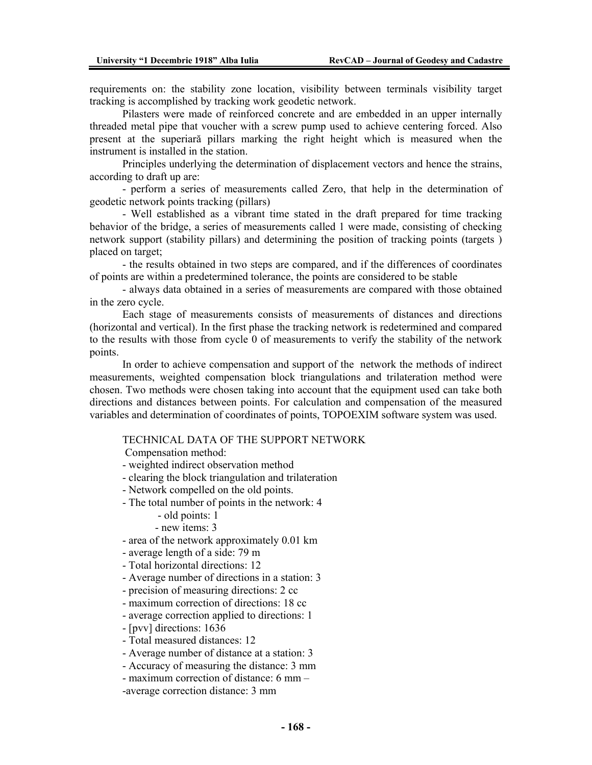requirements on: the stability zone location, visibility between terminals visibility target tracking is accomplished by tracking work geodetic network.

Pilasters were made of reinforced concrete and are embedded in an upper internally threaded metal pipe that voucher with a screw pump used to achieve centering forced. Also present at the superiară pillars marking the right height which is measured when the instrument is installed in the station.

Principles underlying the determination of displacement vectors and hence the strains, according to draft up are:

- perform a series of measurements called Zero, that help in the determination of geodetic network points tracking (pillars)

- Well established as a vibrant time stated in the draft prepared for time tracking behavior of the bridge, a series of measurements called 1 were made, consisting of checking network support (stability pillars) and determining the position of tracking points (targets ) placed on target;

- the results obtained in two steps are compared, and if the differences of coordinates of points are within a predetermined tolerance, the points are considered to be stable

- always data obtained in a series of measurements are compared with those obtained in the zero cycle.

Each stage of measurements consists of measurements of distances and directions (horizontal and vertical). In the first phase the tracking network is redetermined and compared to the results with those from cycle 0 of measurements to verify the stability of the network points.

In order to achieve compensation and support of the network the methods of indirect measurements, weighted compensation block triangulations and trilateration method were chosen. Two methods were chosen taking into account that the equipment used can take both directions and distances between points. For calculation and compensation of the measured variables and determination of coordinates of points, TOPOEXIM software system was used.

## TECHNICAL DATA OF THE SUPPORT NETWORK

Compensation method:

- weighted indirect observation method
- clearing the block triangulation and trilateration
- Network compelled on the old points.
- The total number of points in the network: 4
	- old points: 1
	- new items: 3
- area of the network approximately 0.01 km
- average length of a side: 79 m
- Total horizontal directions: 12
- Average number of directions in a station: 3
- precision of measuring directions: 2 cc
- maximum correction of directions: 18 cc
- average correction applied to directions: 1
- [pvv] directions: 1636
- Total measured distances: 12
- Average number of distance at a station: 3
- Accuracy of measuring the distance: 3 mm
- maximum correction of distance: 6 mm –
- -average correction distance: 3 mm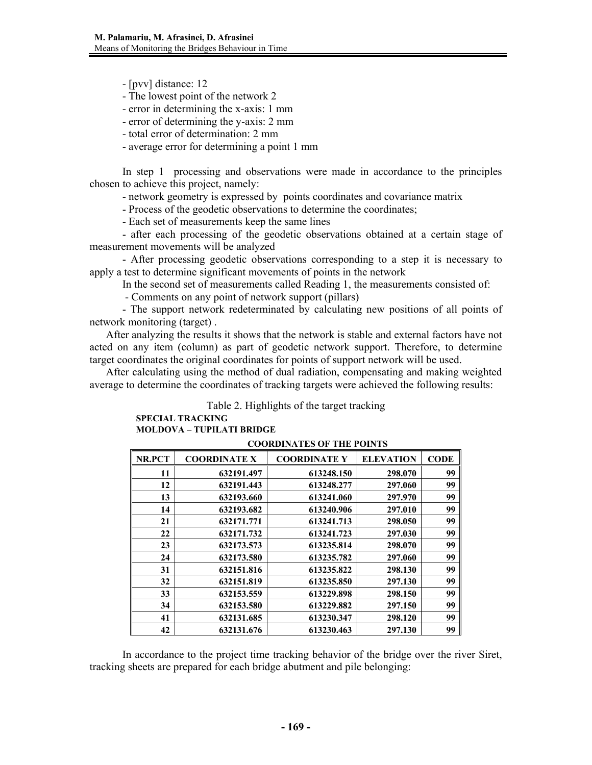- [pvv] distance: 12

- The lowest point of the network 2

- error in determining the x-axis: 1 mm

- error of determining the y-axis: 2 mm

- total error of determination: 2 mm

- average error for determining a point 1 mm

In step 1 processing and observations were made in accordance to the principles chosen to achieve this project, namely:

- network geometry is expressed by points coordinates and covariance matrix

- Process of the geodetic observations to determine the coordinates;

- Each set of measurements keep the same lines

- after each processing of the geodetic observations obtained at a certain stage of measurement movements will be analyzed

- After processing geodetic observations corresponding to a step it is necessary to apply a test to determine significant movements of points in the network

In the second set of measurements called Reading 1, the measurements consisted of:

- Comments on any point of network support (pillars)

- The support network redeterminated by calculating new positions of all points of network monitoring (target) .

After analyzing the results it shows that the network is stable and external factors have not acted on any item (column) as part of geodetic network support. Therefore, to determine target coordinates the original coordinates for points of support network will be used.

After calculating using the method of dual radiation, compensating and making weighted average to determine the coordinates of tracking targets were achieved the following results:

Table 2. Highlights of the target tracking

## **SPECIAL TRACKING MOLDOVA – TUPILATI BRIDGE**

| <b>NR.PCT</b> | <b>COORDINATE X</b> | <b>COORDINATE Y</b> | <b>ELEVATION</b> | <b>CODE</b> |
|---------------|---------------------|---------------------|------------------|-------------|
| 11            | 632191.497          | 613248.150          | 298.070          | 99          |
| 12            | 632191.443          | 613248.277          | 297.060          | 99          |
| 13            | 632193.660          | 613241.060          | 297.970          | 99          |
| 14            | 632193.682          | 613240.906          | 297.010          | 99          |
| 21            | 632171.771          | 613241.713          | 298.050          | 99          |
| 22            | 632171.732          | 613241.723          | 297.030          | 99          |
| 23            | 632173.573          | 613235.814          | 298.070          | 99          |
| 24            | 632173.580          | 613235.782          | 297.060          | 99          |
| 31            | 632151.816          | 613235.822          | 298.130          | 99          |
| 32            | 632151.819          | 613235.850          | 297.130          | 99          |
| 33            | 632153.559          | 613229.898          | 298.150          | 99          |
| 34            | 632153.580          | 613229.882          | 297.150          | 99          |
| 41            | 632131.685          | 613230.347          | 298.120          | 99          |
| 42            | 632131.676          | 613230.463          | 297.130          | 99          |

### **COORDINATES OF THE POINTS**

In accordance to the project time tracking behavior of the bridge over the river Siret, tracking sheets are prepared for each bridge abutment and pile belonging: